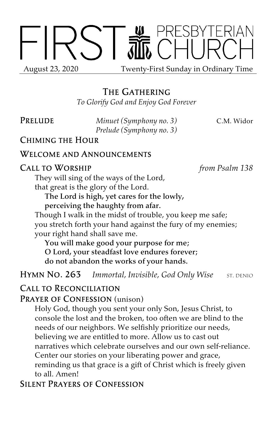

# The Gathering

*To Glorify God and Enjoy God Forever*

Prelude *Minuet (Symphony no. 3)* C.M. Widor *Prelude (Symphony no. 3)*

## Chiming the Hour

#### Welcome and Announcements

#### Call to Worship *from Psalm 138*

They will sing of the ways of the Lord, that great is the glory of the Lord.

The Lord is high, yet cares for the lowly, perceiving the haughty from afar.

Though I walk in the midst of trouble, you keep me safe; you stretch forth your hand against the fury of my enemies; your right hand shall save me.

You will make good your purpose for me; O Lord, your steadfast love endures forever; do not abandon the works of your hands.

**HYMN NO. 263** *Immortal, Invisible, God Only Wise* ST. DENIO

## Call to Reconciliation

#### PRAYER OF CONFESSION (unison)

Holy God, though you sent your only Son, Jesus Christ, to console the lost and the broken, too often we are blind to the needs of our neighbors. We selfishly prioritize our needs, believing we are entitled to more. Allow us to cast out narratives which celebrate ourselves and our own self-reliance. Center our stories on your liberating power and grace, reminding us that grace is a gift of Christ which is freely given to all. Amen!

## Silent Prayers of Confession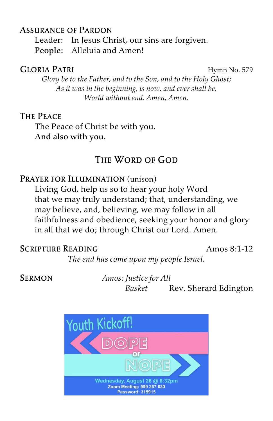## Assurance of Pardon

Leader: In Jesus Christ, our sins are forgiven. People: Alleluia and Amen!

#### GLORIA PATRI Hymn No. 579

*Glory be to the Father, and to the Son, and to the Holy Ghost; As it was in the beginning, is now, and ever shall be, World without end. Amen, Amen.*

## The Peace

The Peace of Christ be with you. And also with you.

# THE WORD OF GOD

## PRAYER FOR ILLUMINATION (unison)

Living God, help us so to hear your holy Word that we may truly understand; that, understanding, we may believe, and, believing, we may follow in all faithfulness and obedience, seeking your honor and glory in all that we do; through Christ our Lord. Amen.

## SCRIPTURE READING Amos 8:1-12

*The end has come upon my people Israel.*

Sermon *Amos: Justice for All Basket* Rev. Sherard Edington

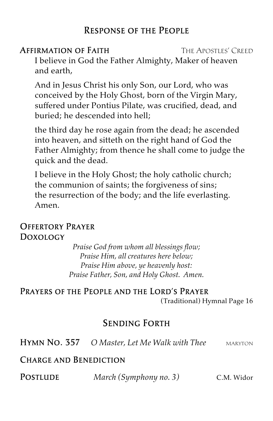# Response of the People

## **AFFIRMATION OF FAITH THE APOSTLES' CREED**

I believe in God the Father Almighty, Maker of heaven and earth,

And in Jesus Christ his only Son, our Lord, who was conceived by the Holy Ghost, born of the Virgin Mary, suffered under Pontius Pilate, was crucified, dead, and buried; he descended into hell;

the third day he rose again from the dead; he ascended into heaven, and sitteth on the right hand of God the Father Almighty; from thence he shall come to judge the quick and the dead.

I believe in the Holy Ghost; the holy catholic church; the communion of saints; the forgiveness of sins; the resurrection of the body; and the life everlasting. Amen.

# Offertory Prayer Doxology

*Praise God from whom all blessings flow; Praise Him, all creatures here below; Praise Him above, ye heavenly host: Praise Father, Son, and Holy Ghost. Amen.*

Prayers of the People and the Lord's Prayer (Traditional) Hymnal Page 16

# Sending Forth

Hymn No. 357 *O Master, Let Me Walk with Thee* maryton

## Charge and Benediction

Postlude *March (Symphony no. 3)* C.M. Widor